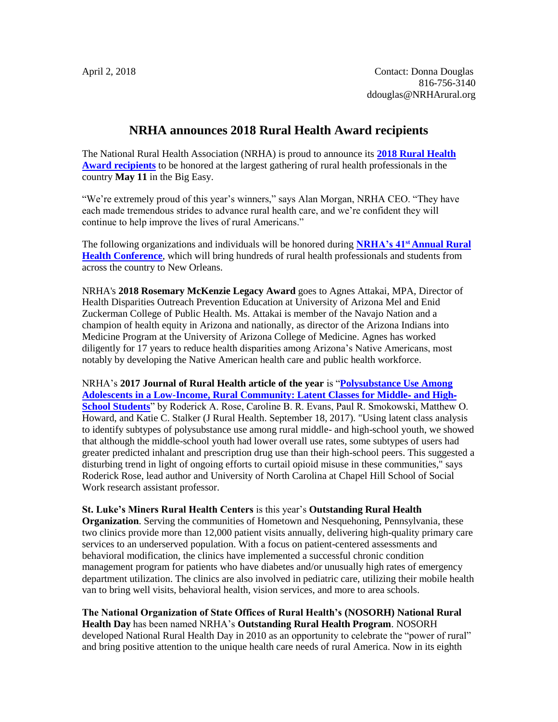## **NRHA announces 2018 Rural Health Award recipients**

The National Rural Health Association (NRHA) is proud to announce its **[2018 Rural Health](https://www.ruralhealthweb.org/blogs/ruralhealthvoices/april-2018/nrha-announces-2018-rural-health-award-recipients)  [Award recipients](https://www.ruralhealthweb.org/blogs/ruralhealthvoices/april-2018/nrha-announces-2018-rural-health-award-recipients)** to be honored at the largest gathering of rural health professionals in the country **May 11** in the Big Easy.

"We're extremely proud of this year's winners," says Alan Morgan, NRHA CEO. "They have each made tremendous strides to advance rural health care, and we're confident they will continue to help improve the lives of rural Americans."

The following organizations and individuals will be honored during **NRHA's 41st [Annual Rural](https://www.ruralhealthweb.org/events/event-details?eventId=18)  [Health Conference](https://www.ruralhealthweb.org/events/event-details?eventId=18)**, which will bring hundreds of rural health professionals and students from across the country to New Orleans.

NRHA's **2018 Rosemary McKenzie Legacy Award** goes to Agnes Attakai, MPA, Director of Health Disparities Outreach Prevention Education at University of Arizona Mel and Enid Zuckerman College of Public Health. Ms. Attakai is member of the Navajo Nation and a champion of health equity in Arizona and nationally, as director of the Arizona Indians into Medicine Program at the University of Arizona College of Medicine. Agnes has worked diligently for 17 years to reduce health disparities among Arizona's Native Americans, most notably by developing the Native American health care and public health workforce.

NRHA's **2017 Journal of Rural Health article of the year** is "**[Polysubstance Use Among](https://doi.org/10.1111/jrh.12268)  [Adolescents in a Low-Income, Rural Community: Latent Classes for Middle](https://doi.org/10.1111/jrh.12268)**‐ **and High**‐ **[School Students](https://doi.org/10.1111/jrh.12268)**" by Roderick A. Rose, Caroline B. R. Evans, Paul R. Smokowski, Matthew O. Howard, and Katie C. Stalker (J Rural Health. September 18, 2017). "Using latent class analysis to identify subtypes of polysubstance use among rural middle- and high-school youth, we showed that although the middle-school youth had lower overall use rates, some subtypes of users had greater predicted inhalant and prescription drug use than their high-school peers. This suggested a disturbing trend in light of ongoing efforts to curtail opioid misuse in these communities," says Roderick Rose, lead author and University of North Carolina at Chapel Hill School of Social Work research assistant professor.

### **St. Luke's Miners Rural Health Centers** is this year's **Outstanding Rural Health**

**Organization**. Serving the communities of Hometown and Nesquehoning, Pennsylvania, these two clinics provide more than 12,000 patient visits annually, delivering high-quality primary care services to an underserved population. With a focus on patient-centered assessments and behavioral modification, the clinics have implemented a successful chronic condition management program for patients who have diabetes and/or unusually high rates of emergency department utilization. The clinics are also involved in pediatric care, utilizing their mobile health van to bring well visits, behavioral health, vision services, and more to area schools.

### **The National Organization of State Offices of Rural Health's (NOSORH) National Rural Health Day** has been named NRHA's **Outstanding Rural Health Program**. NOSORH

developed National Rural Health Day in 2010 as an opportunity to celebrate the "power of rural" and bring positive attention to the unique health care needs of rural America. Now in its eighth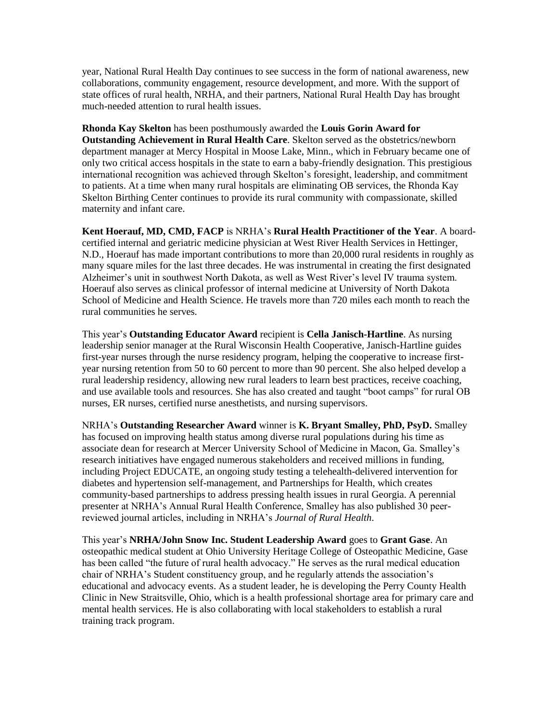year, National Rural Health Day continues to see success in the form of national awareness, new collaborations, community engagement, resource development, and more. With the support of state offices of rural health, NRHA, and their partners, National Rural Health Day has brought much-needed attention to rural health issues.

**Rhonda Kay Skelton** has been posthumously awarded the **Louis Gorin Award for Outstanding Achievement in Rural Health Care**. Skelton served as the obstetrics/newborn department manager at Mercy Hospital in Moose Lake, Minn., which in February became one of only two critical access hospitals in the state to earn a baby-friendly designation. This prestigious international recognition was achieved through Skelton's foresight, leadership, and commitment to patients. At a time when many rural hospitals are eliminating OB services, the Rhonda Kay Skelton Birthing Center continues to provide its rural community with compassionate, skilled maternity and infant care.

**Kent Hoerauf, MD, CMD, FACP** is NRHA's **Rural Health Practitioner of the Year**. A boardcertified internal and geriatric medicine physician at West River Health Services in Hettinger, N.D., Hoerauf has made important contributions to more than 20,000 rural residents in roughly as many square miles for the last three decades. He was instrumental in creating the first designated Alzheimer's unit in southwest North Dakota, as well as West River's level IV trauma system. Hoerauf also serves as clinical professor of internal medicine at University of North Dakota School of Medicine and Health Science. He travels more than 720 miles each month to reach the rural communities he serves.

This year's **Outstanding Educator Award** recipient is **Cella Janisch-Hartline**. As nursing leadership senior manager at the Rural Wisconsin Health Cooperative, Janisch-Hartline guides first-year nurses through the nurse residency program, helping the cooperative to increase firstyear nursing retention from 50 to 60 percent to more than 90 percent. She also helped develop a rural leadership residency, allowing new rural leaders to learn best practices, receive coaching, and use available tools and resources. She has also created and taught "boot camps" for rural OB nurses, ER nurses, certified nurse anesthetists, and nursing supervisors.

NRHA's **Outstanding Researcher Award** winner is **K. Bryant Smalley, PhD, PsyD.** Smalley has focused on improving health status among diverse rural populations during his time as associate dean for research at Mercer University School of Medicine in Macon, Ga. Smalley's research initiatives have engaged numerous stakeholders and received millions in funding, including Project EDUCATE, an ongoing study testing a telehealth-delivered intervention for diabetes and hypertension self-management, and Partnerships for Health, which creates community-based partnerships to address pressing health issues in rural Georgia. A perennial presenter at NRHA's Annual Rural Health Conference, Smalley has also published 30 peerreviewed journal articles, including in NRHA's *Journal of Rural Health*.

This year's **NRHA/John Snow Inc. Student Leadership Award** goes to **Grant Gase**. An osteopathic medical student at Ohio University Heritage College of Osteopathic Medicine, Gase has been called "the future of rural health advocacy." He serves as the rural medical education chair of NRHA's Student constituency group, and he regularly attends the association's educational and advocacy events. As a student leader, he is developing the Perry County Health Clinic in New Straitsville, Ohio, which is a health professional shortage area for primary care and mental health services. He is also collaborating with local stakeholders to establish a rural training track program.